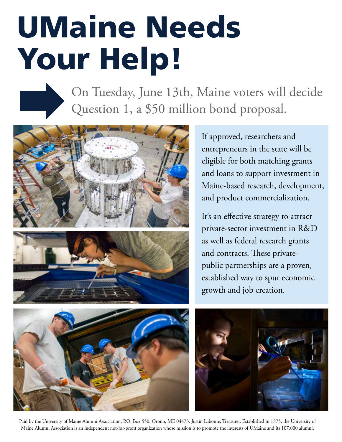## UMaine Needs Your Help!



On Tuesday, June 13th, Maine voters will decide Question 1, a \$50 million bond proposal.





If approved, researchers and entrepreneurs in the state will be eligible for both matching grants and loans to support investment in Maine-based research, development, and product commercialization.

It's an effective strategy to attract private-sector investment in R&D as well as federal research grants and contracts. These privatepublic partnerships are a proven, established way to spur economic growth and job creation.





Paid by the University of Maine Alumni Association, P.O. Box 550, Orono, ME 04473. Justin Labonte, Treasurer. Established in 1875, the University of Maine Alumni Association is an independent not-for-profit organization whose mission is to promote the interests of UMaine and its 107,000 alumni.